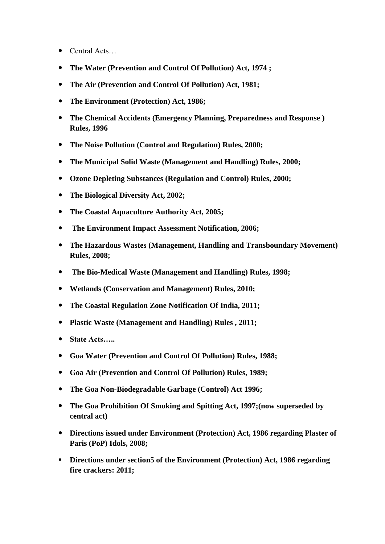- Central Acts…
- **The Water (Prevention and Control Of Pollution) Act, 1974 ;**
- **The Air (Prevention and Control Of Pollution) Act, 1981;**
- **The Environment (Protection) Act, 1986;**
- **The Chemical Accidents (Emergency Planning, Preparedness and Response ) Rules, 1996**
- **The Noise Pollution (Control and Regulation) Rules, 2000;**
- **The Municipal Solid Waste (Management and Handling) Rules, 2000;**
- **Ozone Depleting Substances (Regulation and Control) Rules, 2000;**
- **The Biological Diversity Act, 2002;**
- **The Coastal Aquaculture Authority Act, 2005;**
- **The Environment Impact Assessment Notification, 2006;**
- **The Hazardous Wastes (Management, Handling and Transboundary Movement) Rules, 2008;**
- **The Bio-Medical Waste (Management and Handling) Rules, 1998;**
- **Wetlands (Conservation and Management) Rules, 2010;**
- **The Coastal Regulation Zone Notification Of India, 2011;**
- **Plastic Waste (Management and Handling) Rules , 2011;**
- **State Acts…..**
- **Goa Water (Prevention and Control Of Pollution) Rules, 1988;**
- **Goa Air (Prevention and Control Of Pollution) Rules, 1989;**
- **The Goa Non-Biodegradable Garbage (Control) Act 1996;**
- **The Goa Prohibition Of Smoking and Spitting Act, 1997;(now superseded by central act)**
- **Directions issued under Environment (Protection) Act, 1986 regarding Plaster of Paris (PoP) Idols, 2008;**
- **Directions under section5 of the Environment (Protection) Act, 1986 regarding fire crackers: 2011;**